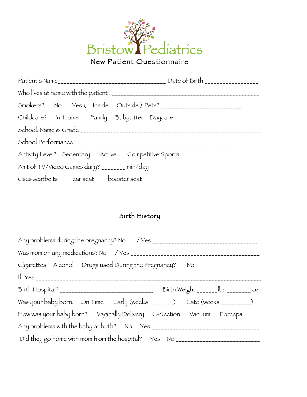

|                                                     | Patient's Name                         |
|-----------------------------------------------------|----------------------------------------|
|                                                     |                                        |
|                                                     | Smokers? No Yes (Inside Outside) Pets? |
| Childcare? In Home Family Babysitter Daycare        |                                        |
|                                                     | School: Name & Grade                   |
|                                                     |                                        |
| Activity Level? Sedentary Active Competitive Sports |                                        |
| Amt of TV/Video Games daily? ________ min/day       |                                        |
| Uses seatbelts car seat booster seat                |                                        |

## Birth History

| Cigarettes Alcohol Drugs used During the Pregnancy? No                     |  |  |  |  |  |
|----------------------------------------------------------------------------|--|--|--|--|--|
|                                                                            |  |  |  |  |  |
|                                                                            |  |  |  |  |  |
| Was your baby born: On Time Early (weeks ________) Late (weeks __________) |  |  |  |  |  |
| How was your baby born? Vaginally Delivery C-Section Vacuum Forceps        |  |  |  |  |  |
|                                                                            |  |  |  |  |  |
| Did they go home with mom from the hospital? Yes No                        |  |  |  |  |  |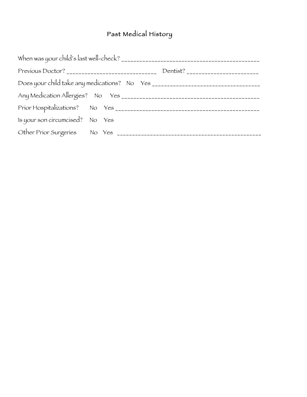## Past Medical History

|                                 | When was your child's last well-check? |
|---------------------------------|----------------------------------------|
|                                 |                                        |
|                                 |                                        |
|                                 |                                        |
|                                 |                                        |
| Is your son circumcised? No Yes |                                        |
|                                 |                                        |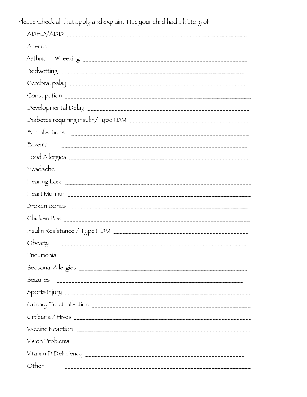Please Check all that apply and explain. Has your child had a history of:

| Developmental Delay |
|---------------------|
|                     |
| Ear intections      |
| Eczema              |
|                     |
|                     |
|                     |
|                     |
|                     |
|                     |
|                     |
| Obesity             |
| Pneumonía           |
|                     |
|                     |
|                     |
|                     |
|                     |
|                     |
|                     |
|                     |
| Other:              |